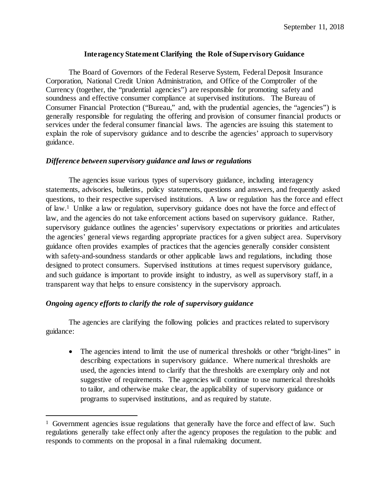## **Interagency Statement Clarifying the Role of Supervisory Guidance**

The Board of Governors of the Federal Reserve System, Federal Deposit Insurance Corporation, National Credit Union Administration, and Office of the Comptroller of the Currency (together, the "prudential agencies") are responsible for promoting safety and soundness and effective consumer compliance at supervised institutions. The Bureau of Consumer Financial Protection ("Bureau," and, with the prudential agencies, the "agencies") is generally responsible for regulating the offering and provision of consumer financial products or services under the federal consumer financial laws. The agencies are issuing this statement to explain the role of supervisory guidance and to describe the agencies' approach to supervisory guidance.

## *Difference between supervisory guidance and laws or regulations*

The agencies issue various types of supervisory guidance, including interagency statements, advisories, bulletins, policy statements, questions and answers, and frequently asked questions, to their respective supervised institutions. A law or regulation has the force and effect of law.1 Unlike a law or regulation, supervisory guidance does not have the force and effect of law, and the agencies do not take enforcement actions based on supervisory guidance. Rather, supervisory guidance outlines the agencies' supervisory expectations or priorities and articulates the agencies' general views regarding appropriate practices for a given subject area. Supervisory guidance often provides examples of practices that the agencies generally consider consistent with safety-and-soundness standards or other applicable laws and regulations, including those designed to protect consumers. Supervised institutions at times request supervisory guidance, and such guidance is important to provide insight to industry, as well as supervisory staff, in a transparent way that helps to ensure consistency in the supervisory approach.

## *Ongoing agency efforts to clarify the role of supervisory guidance*

 $\overline{a}$ 

The agencies are clarifying the following policies and practices related to supervisory guidance:

• The agencies intend to limit the use of numerical thresholds or other "bright-lines" in describing expectations in supervisory guidance. Where numerical thresholds are used, the agencies intend to clarify that the thresholds are exemplary only and not suggestive of requirements. The agencies will continue to use numerical thresholds to tailor, and otherwise make clear, the applicability of supervisory guidance or programs to supervised institutions, and as required by statute.

<sup>&</sup>lt;sup>1</sup> Government agencies issue regulations that generally have the force and effect of law. Such regulations generally take effect only after the agency proposes the regulation to the public and responds to comments on the proposal in a final rulemaking document.